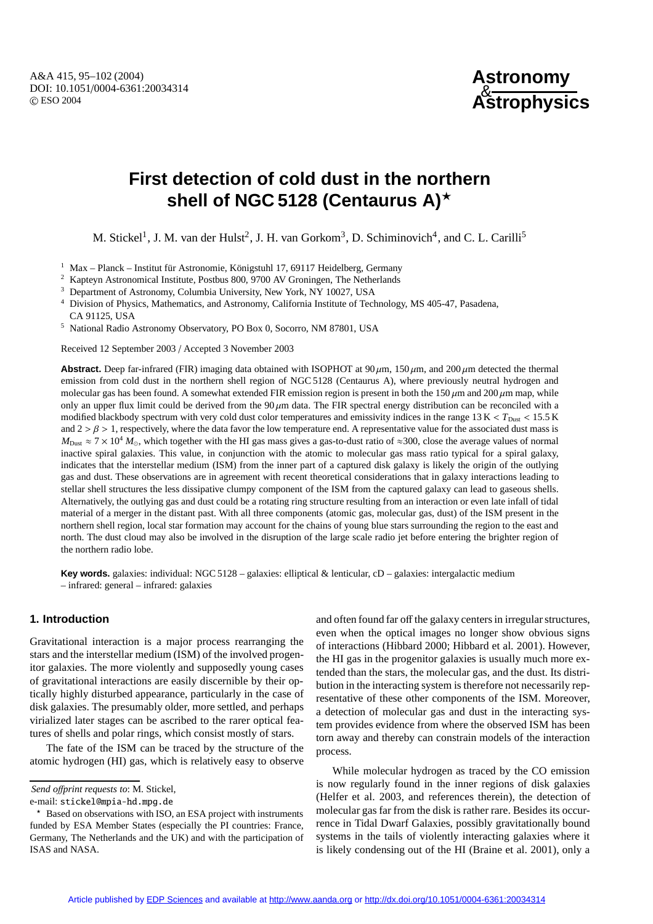A&A 415, 95–102 (2004) DOI: 10.1051/0004-6361:20034314 c ESO 2004

**Astronomy** & **Astrophysics**

# **First detection of cold dust in the northern shell of NGC 5128 (Centaurus A)**?

M. Stickel<sup>1</sup>, J. M. van der Hulst<sup>2</sup>, J. H. van Gorkom<sup>3</sup>, D. Schiminovich<sup>4</sup>, and C. L. Carilli<sup>5</sup>

- $1$  Max Planck Institut für Astronomie, Königstuhl 17, 69117 Heidelberg, Germany
- <sup>2</sup> Kapteyn Astronomical Institute, Postbus 800, 9700 AV Groningen, The Netherlands
- <sup>3</sup> Department of Astronomy, Columbia University, New York, NY 10027, USA

<sup>4</sup> Division of Physics, Mathematics, and Astronomy, California Institute of Technology, MS 405-47, Pasadena, CA 91125, USA

<sup>5</sup> National Radio Astronomy Observatory, PO Box 0, Socorro, NM 87801, USA

Received 12 September 2003 / Accepted 3 November 2003

**Abstract.** Deep far-infrared (FIR) imaging data obtained with ISOPHOT at  $90 \mu m$ ,  $150 \mu m$ , and  $200 \mu m$  detected the thermal emission from cold dust in the northern shell region of NGC 5128 (Centaurus A), where previously neutral hydrogen and molecular gas has been found. A somewhat extended FIR emission region is present in both the  $150 \mu m$  and  $200 \mu m$  map, while only an upper flux limit could be derived from the 90  $\mu$ m data. The FIR spectral energy distribution can be reconciled with a modified blackbody spectrum with very cold dust color temperatures and emissivity indices in the range  $13 K < T_{\text{Dust}} < 15.5 K$ and  $2 > \beta > 1$ , respectively, where the data favor the low temperature end. A representative value for the associated dust mass is  $M_{\text{Dust}} \approx 7 \times 10^4$   $M_{\odot}$ , which together with the HI gas mass gives a gas-to-dust ratio of ≈300, close the average values of normal inactive spiral galaxies. This value, in conjunction with the atomic to molecular gas mass ratio typical for a spiral galaxy, indicates that the interstellar medium (ISM) from the inner part of a captured disk galaxy is likely the origin of the outlying gas and dust. These observations are in agreement with recent theoretical considerations that in galaxy interactions leading to stellar shell structures the less dissipative clumpy component of the ISM from the captured galaxy can lead to gaseous shells. Alternatively, the outlying gas and dust could be a rotating ring structure resulting from an interaction or even late infall of tidal material of a merger in the distant past. With all three components (atomic gas, molecular gas, dust) of the ISM present in the northern shell region, local star formation may account for the chains of young blue stars surrounding the region to the east and north. The dust cloud may also be involved in the disruption of the large scale radio jet before entering the brighter region of the northern radio lobe.

**Key words.** galaxies: individual: NGC 5128 – galaxies: elliptical & lenticular, cD – galaxies: intergalactic medium – infrared: general – infrared: galaxies

### **1. Introduction**

Gravitational interaction is a major process rearranging the stars and the interstellar medium (ISM) of the involved progenitor galaxies. The more violently and supposedly young cases of gravitational interactions are easily discernible by their optically highly disturbed appearance, particularly in the case of disk galaxies. The presumably older, more settled, and perhaps virialized later stages can be ascribed to the rarer optical features of shells and polar rings, which consist mostly of stars.

The fate of the ISM can be traced by the structure of the atomic hydrogen (HI) gas, which is relatively easy to observe

*Send o*ff*print requests to*: M. Stickel,

e-mail: stickel@mpia-hd.mpg.de

and often found far off the galaxy centers in irregular structures, even when the optical images no longer show obvious signs of interactions (Hibbard 2000; Hibbard et al. 2001). However, the HI gas in the progenitor galaxies is usually much more extended than the stars, the molecular gas, and the dust. Its distribution in the interacting system is therefore not necessarily representative of these other components of the ISM. Moreover, a detection of molecular gas and dust in the interacting system provides evidence from where the observed ISM has been torn away and thereby can constrain models of the interaction process.

While molecular hydrogen as traced by the CO emission is now regularly found in the inner regions of disk galaxies (Helfer et al. 2003, and references therein), the detection of molecular gas far from the disk is rather rare. Besides its occurrence in Tidal Dwarf Galaxies, possibly gravitationally bound systems in the tails of violently interacting galaxies where it is likely condensing out of the HI (Braine et al. 2001), only a

<sup>?</sup> Based on observations with ISO, an ESA project with instruments funded by ESA Member States (especially the PI countries: France, Germany, The Netherlands and the UK) and with the participation of ISAS and NASA.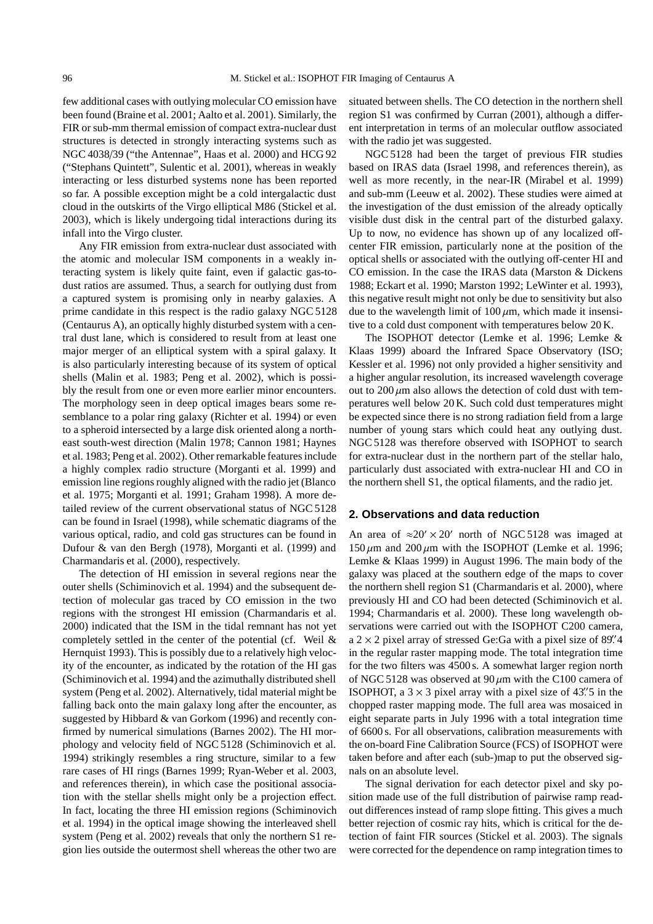few additional cases with outlying molecular CO emission have been found (Braine et al. 2001; Aalto et al. 2001). Similarly, the FIR or sub-mm thermal emission of compact extra-nuclear dust structures is detected in strongly interacting systems such as NGC 4038/39 ("the Antennae", Haas et al. 2000) and HCG 92 ("Stephans Quintett", Sulentic et al. 2001), whereas in weakly interacting or less disturbed systems none has been reported so far. A possible exception might be a cold intergalactic dust cloud in the outskirts of the Virgo elliptical M86 (Stickel et al. 2003), which is likely undergoing tidal interactions during its infall into the Virgo cluster.

Any FIR emission from extra-nuclear dust associated with the atomic and molecular ISM components in a weakly interacting system is likely quite faint, even if galactic gas-todust ratios are assumed. Thus, a search for outlying dust from a captured system is promising only in nearby galaxies. A prime candidate in this respect is the radio galaxy NGC 5128 (Centaurus A), an optically highly disturbed system with a central dust lane, which is considered to result from at least one major merger of an elliptical system with a spiral galaxy. It is also particularly interesting because of its system of optical shells (Malin et al. 1983; Peng et al. 2002), which is possibly the result from one or even more earlier minor encounters. The morphology seen in deep optical images bears some resemblance to a polar ring galaxy (Richter et al. 1994) or even to a spheroid intersected by a large disk oriented along a northeast south-west direction (Malin 1978; Cannon 1981; Haynes et al. 1983; Peng et al. 2002). Other remarkable features include a highly complex radio structure (Morganti et al. 1999) and emission line regions roughly aligned with the radio jet (Blanco et al. 1975; Morganti et al. 1991; Graham 1998). A more detailed review of the current observational status of NGC 5128 can be found in Israel (1998), while schematic diagrams of the various optical, radio, and cold gas structures can be found in Dufour & van den Bergh (1978), Morganti et al. (1999) and Charmandaris et al. (2000), respectively.

The detection of HI emission in several regions near the outer shells (Schiminovich et al. 1994) and the subsequent detection of molecular gas traced by CO emission in the two regions with the strongest HI emission (Charmandaris et al. 2000) indicated that the ISM in the tidal remnant has not yet completely settled in the center of the potential (cf. Weil & Hernquist 1993). This is possibly due to a relatively high velocity of the encounter, as indicated by the rotation of the HI gas (Schiminovich et al. 1994) and the azimuthally distributed shell system (Peng et al. 2002). Alternatively, tidal material might be falling back onto the main galaxy long after the encounter, as suggested by Hibbard & van Gorkom (1996) and recently confirmed by numerical simulations (Barnes 2002). The HI morphology and velocity field of NGC 5128 (Schiminovich et al. 1994) strikingly resembles a ring structure, similar to a few rare cases of HI rings (Barnes 1999; Ryan-Weber et al. 2003, and references therein), in which case the positional association with the stellar shells might only be a projection effect. In fact, locating the three HI emission regions (Schiminovich et al. 1994) in the optical image showing the interleaved shell system (Peng et al. 2002) reveals that only the northern S1 region lies outside the outermost shell whereas the other two are situated between shells. The CO detection in the northern shell region S1 was confirmed by Curran (2001), although a different interpretation in terms of an molecular outflow associated with the radio jet was suggested.

NGC 5128 had been the target of previous FIR studies based on IRAS data (Israel 1998, and references therein), as well as more recently, in the near-IR (Mirabel et al. 1999) and sub-mm (Leeuw et al. 2002). These studies were aimed at the investigation of the dust emission of the already optically visible dust disk in the central part of the disturbed galaxy. Up to now, no evidence has shown up of any localized offcenter FIR emission, particularly none at the position of the optical shells or associated with the outlying off-center HI and CO emission. In the case the IRAS data (Marston & Dickens 1988; Eckart et al. 1990; Marston 1992; LeWinter et al. 1993), this negative result might not only be due to sensitivity but also due to the wavelength limit of  $100 \mu m$ , which made it insensitive to a cold dust component with temperatures below 20 K.

The ISOPHOT detector (Lemke et al. 1996; Lemke & Klaas 1999) aboard the Infrared Space Observatory (ISO; Kessler et al. 1996) not only provided a higher sensitivity and a higher angular resolution, its increased wavelength coverage out to  $200 \mu m$  also allows the detection of cold dust with temperatures well below 20 K. Such cold dust temperatures might be expected since there is no strong radiation field from a large number of young stars which could heat any outlying dust. NGC 5128 was therefore observed with ISOPHOT to search for extra-nuclear dust in the northern part of the stellar halo, particularly dust associated with extra-nuclear HI and CO in the northern shell S1, the optical filaments, and the radio jet.

## **2. Observations and data reduction**

An area of  $\approx 20' \times 20'$  north of NGC 5128 was imaged at  $150 \mu m$  and  $200 \mu m$  with the ISOPHOT (Lemke et al. 1996; Lemke & Klaas 1999) in August 1996. The main body of the galaxy was placed at the southern edge of the maps to cover the northern shell region S1 (Charmandaris et al. 2000), where previously HI and CO had been detected (Schiminovich et al. 1994; Charmandaris et al. 2000). These long wavelength observations were carried out with the ISOPHOT C200 camera,  $a$  2  $\times$  2 pixel array of stressed Ge:Ga with a pixel size of 89. 4 in the regular raster mapping mode. The total integration time for the two filters was 4500 s. A somewhat larger region north of NGC 5128 was observed at  $90 \mu m$  with the C100 camera of ISOPHOT, a  $3 \times 3$  pixel array with a pixel size of 43''. S in the chopped raster mapping mode. The full area was mosaiced in eight separate parts in July 1996 with a total integration time of 6600 s. For all observations, calibration measurements with the on-board Fine Calibration Source (FCS) of ISOPHOT were taken before and after each (sub-)map to put the observed signals on an absolute level.

The signal derivation for each detector pixel and sky position made use of the full distribution of pairwise ramp readout differences instead of ramp slope fitting. This gives a much better rejection of cosmic ray hits, which is critical for the detection of faint FIR sources (Stickel et al. 2003). The signals were corrected for the dependence on ramp integration times to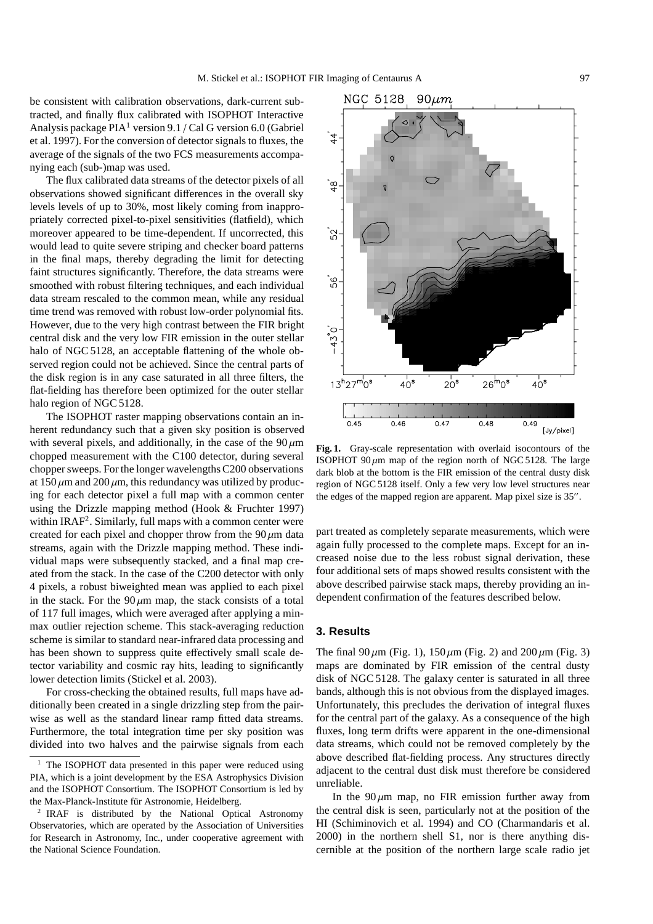be consistent with calibration observations, dark-current subtracted, and finally flux calibrated with ISOPHOT Interactive Analysis package  $PIA<sup>1</sup>$  version 9.1 / Cal G version 6.0 (Gabriel et al. 1997). For the conversion of detector signals to fluxes, the average of the signals of the two FCS measurements accompanying each (sub-)map was used.

The flux calibrated data streams of the detector pixels of all observations showed significant differences in the overall sky levels levels of up to 30%, most likely coming from inappropriately corrected pixel-to-pixel sensitivities (flatfield), which moreover appeared to be time-dependent. If uncorrected, this would lead to quite severe striping and checker board patterns in the final maps, thereby degrading the limit for detecting faint structures significantly. Therefore, the data streams were smoothed with robust filtering techniques, and each individual data stream rescaled to the common mean, while any residual time trend was removed with robust low-order polynomial fits. However, due to the very high contrast between the FIR bright central disk and the very low FIR emission in the outer stellar halo of NGC 5128, an acceptable flattening of the whole observed region could not be achieved. Since the central parts of the disk region is in any case saturated in all three filters, the flat-fielding has therefore been optimized for the outer stellar halo region of NGC 5128.

The ISOPHOT raster mapping observations contain an inherent redundancy such that a given sky position is observed with several pixels, and additionally, in the case of the  $90 \mu m$ chopped measurement with the C100 detector, during several chopper sweeps. For the longer wavelengths C200 observations at  $150 \mu$ m and  $200 \mu$ m, this redundancy was utilized by producing for each detector pixel a full map with a common center using the Drizzle mapping method (Hook & Fruchter 1997) within IRAF<sup>2</sup>. Similarly, full maps with a common center were created for each pixel and chopper throw from the  $90 \mu m$  data streams, again with the Drizzle mapping method. These individual maps were subsequently stacked, and a final map created from the stack. In the case of the C200 detector with only 4 pixels, a robust biweighted mean was applied to each pixel in the stack. For the  $90 \mu m$  map, the stack consists of a total of 117 full images, which were averaged after applying a minmax outlier rejection scheme. This stack-averaging reduction scheme is similar to standard near-infrared data processing and has been shown to suppress quite effectively small scale detector variability and cosmic ray hits, leading to significantly lower detection limits (Stickel et al. 2003).

For cross-checking the obtained results, full maps have additionally been created in a single drizzling step from the pairwise as well as the standard linear ramp fitted data streams. Furthermore, the total integration time per sky position was divided into two halves and the pairwise signals from each



**Fig. 1.** Gray-scale representation with overlaid isocontours of the ISOPHOT 90 $\mu$ m map of the region north of NGC 5128. The large dark blob at the bottom is the FIR emission of the central dusty disk region of NGC 5128 itself. Only a few very low level structures near the edges of the mapped region are apparent. Map pixel size is 35".

part treated as completely separate measurements, which were again fully processed to the complete maps. Except for an increased noise due to the less robust signal derivation, these four additional sets of maps showed results consistent with the above described pairwise stack maps, thereby providing an independent confirmation of the features described below.

#### **3. Results**

The final 90  $\mu$ m (Fig. 1), 150  $\mu$ m (Fig. 2) and 200  $\mu$ m (Fig. 3) maps are dominated by FIR emission of the central dusty disk of NGC 5128. The galaxy center is saturated in all three bands, although this is not obvious from the displayed images. Unfortunately, this precludes the derivation of integral fluxes for the central part of the galaxy. As a consequence of the high fluxes, long term drifts were apparent in the one-dimensional data streams, which could not be removed completely by the above described flat-fielding process. Any structures directly adjacent to the central dust disk must therefore be considered unreliable.

In the  $90 \mu m$  map, no FIR emission further away from the central disk is seen, particularly not at the position of the HI (Schiminovich et al. 1994) and CO (Charmandaris et al. 2000) in the northern shell S1, nor is there anything discernible at the position of the northern large scale radio jet

The ISOPHOT data presented in this paper were reduced using PIA, which is a joint development by the ESA Astrophysics Division and the ISOPHOT Consortium. The ISOPHOT Consortium is led by the Max-Planck-Institute für Astronomie, Heidelberg.

<sup>2</sup> IRAF is distributed by the National Optical Astronomy Observatories, which are operated by the Association of Universities for Research in Astronomy, Inc., under cooperative agreement with the National Science Foundation.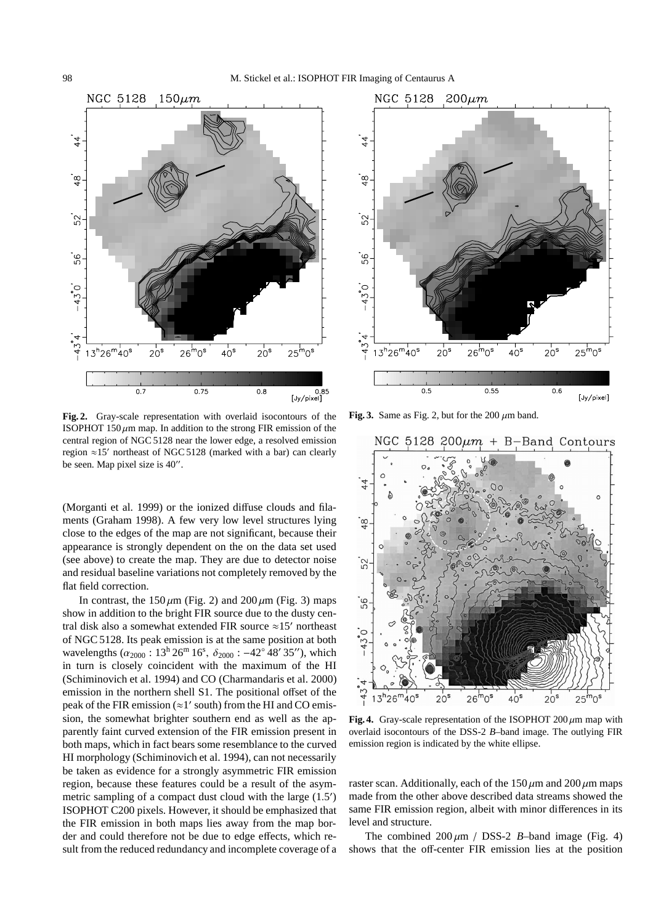

**Fig. 2.** Gray-scale representation with overlaid isocontours of the ISOPHOT 150  $\mu$ m map. In addition to the strong FIR emission of the central region of NGC 5128 near the lower edge, a resolved emission region  $\approx$ 15' northeast of NGC 5128 (marked with a bar) can clearly be seen. Map pixel size is 40".

(Morganti et al. 1999) or the ionized diffuse clouds and filaments (Graham 1998). A few very low level structures lying close to the edges of the map are not significant, because their appearance is strongly dependent on the on the data set used (see above) to create the map. They are due to detector noise and residual baseline variations not completely removed by the flat field correction.

In contrast, the  $150 \mu m$  (Fig. 2) and  $200 \mu m$  (Fig. 3) maps show in addition to the bright FIR source due to the dusty central disk also a somewhat extended FIR source  $\approx$ 15' northeast of NGC 5128. Its peak emission is at the same position at both wavelengths ( $\alpha_{2000}$ : 13<sup>h</sup> 26<sup>m</sup> 16<sup>s</sup>,  $\delta_{2000}$ : -42° 48′ 35″), which in turn is closely coincident with the maximum of the HI (Schiminovich et al. 1994) and CO (Charmandaris et al. 2000) emission in the northern shell S1. The positional offset of the peak of the FIR emission ( $\approx$ 1' south) from the HI and CO emission, the somewhat brighter southern end as well as the apparently faint curved extension of the FIR emission present in both maps, which in fact bears some resemblance to the curved HI morphology (Schiminovich et al. 1994), can not necessarily be taken as evidence for a strongly asymmetric FIR emission region, because these features could be a result of the asymmetric sampling of a compact dust cloud with the large  $(1.5)$ ISOPHOT C200 pixels. However, it should be emphasized that the FIR emission in both maps lies away from the map border and could therefore not be due to edge effects, which result from the reduced redundancy and incomplete coverage of a



Fig. 3. Same as Fig. 2, but for the 200  $\mu$ m band.



**Fig. 4.** Gray-scale representation of the ISOPHOT  $200 \mu m$  map with overlaid isocontours of the DSS-2 *B*–band image. The outlying FIR emission region is indicated by the white ellipse.

raster scan. Additionally, each of the  $150 \mu m$  and  $200 \mu m$  maps made from the other above described data streams showed the same FIR emission region, albeit with minor differences in its level and structure.

The combined  $200 \mu m$  / DSS-2 *B*-band image (Fig. 4) shows that the off-center FIR emission lies at the position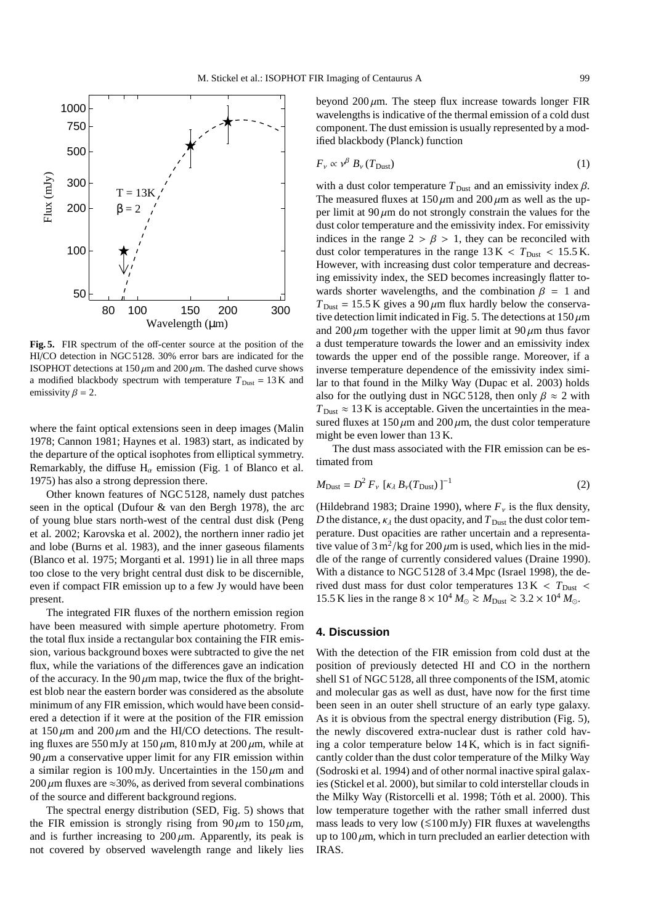

**Fig. 5.** FIR spectrum of the off-center source at the position of the HI/CO detection in NGC 5128. 30% error bars are indicated for the ISOPHOT detections at  $150 \mu m$  and  $200 \mu m$ . The dashed curve shows a modified blackbody spectrum with temperature  $T_{\text{Dust}} = 13 \text{ K}$  and emissivity  $\beta = 2$ .

where the faint optical extensions seen in deep images (Malin 1978; Cannon 1981; Haynes et al. 1983) start, as indicated by the departure of the optical isophotes from elliptical symmetry. Remarkably, the diffuse  $H_{\alpha}$  emission (Fig. 1 of Blanco et al. 1975) has also a strong depression there.

Other known features of NGC 5128, namely dust patches seen in the optical (Dufour & van den Bergh 1978), the arc of young blue stars north-west of the central dust disk (Peng et al. 2002; Karovska et al. 2002), the northern inner radio jet and lobe (Burns et al. 1983), and the inner gaseous filaments (Blanco et al. 1975; Morganti et al. 1991) lie in all three maps too close to the very bright central dust disk to be discernible, even if compact FIR emission up to a few Jy would have been present.

The integrated FIR fluxes of the northern emission region have been measured with simple aperture photometry. From the total flux inside a rectangular box containing the FIR emission, various background boxes were subtracted to give the net flux, while the variations of the differences gave an indication of the accuracy. In the 90  $\mu$ m map, twice the flux of the brightest blob near the eastern border was considered as the absolute minimum of any FIR emission, which would have been considered a detection if it were at the position of the FIR emission at  $150 \mu m$  and  $200 \mu m$  and the HI/CO detections. The resulting fluxes are 550 mJy at  $150 \mu m$ ,  $810 \,\mathrm{mJy}$  at  $200 \,\mathrm{\mu m}$ , while at  $90 \mu m$  a conservative upper limit for any FIR emission within a similar region is 100 mJy. Uncertainties in the  $150 \mu m$  and 200  $\mu$ m fluxes are ≈30%, as derived from several combinations of the source and different background regions.

The spectral energy distribution (SED, Fig. 5) shows that the FIR emission is strongly rising from  $90 \mu m$  to  $150 \mu m$ , and is further increasing to  $200 \mu m$ . Apparently, its peak is not covered by observed wavelength range and likely lies

beyond  $200 \mu m$ . The steep flux increase towards longer FIR wavelengths is indicative of the thermal emission of a cold dust component. The dust emission is usually represented by a modified blackbody (Planck) function

$$
F_{\nu} \propto \nu^{\beta} B_{\nu} (T_{\text{Dust}}) \tag{1}
$$

with a dust color temperature  $T_{\text{Dust}}$  and an emissivity index  $\beta$ . The measured fluxes at  $150 \mu m$  and  $200 \mu m$  as well as the upper limit at  $90 \mu m$  do not strongly constrain the values for the dust color temperature and the emissivity index. For emissivity indices in the range  $2 > \beta > 1$ , they can be reconciled with dust color temperatures in the range  $13 K < T_{\text{Dust}} < 15.5 K$ . However, with increasing dust color temperature and decreasing emissivity index, the SED becomes increasingly flatter towards shorter wavelengths, and the combination  $\beta = 1$  and  $T_{\text{Dust}} = 15.5 \text{ K}$  gives a 90  $\mu$ m flux hardly below the conservative detection limit indicated in Fig. 5. The detections at  $150 \,\mu m$ and 200  $\mu$ m together with the upper limit at 90  $\mu$ m thus favor a dust temperature towards the lower and an emissivity index towards the upper end of the possible range. Moreover, if a inverse temperature dependence of the emissivity index similar to that found in the Milky Way (Dupac et al. 2003) holds also for the outlying dust in NGC 5128, then only  $\beta \approx 2$  with  $T_{\text{Dust}} \approx 13 \text{ K}$  is acceptable. Given the uncertainties in the measured fluxes at  $150 \mu m$  and  $200 \mu m$ , the dust color temperature might be even lower than 13 K.

The dust mass associated with the FIR emission can be estimated from

$$
M_{\text{Dust}} = D^2 F_{\nu} \left[ \kappa_{\lambda} B_{\nu} (T_{\text{Dust}}) \right]^{-1} \tag{2}
$$

(Hildebrand 1983; Draine 1990), where  $F_v$  is the flux density, *D* the distance,  $\kappa_{\lambda}$  the dust opacity, and  $T_{\text{Dust}}$  the dust color temperature. Dust opacities are rather uncertain and a representative value of  $3 \text{ m}^2/\text{kg}$  for  $200 \mu \text{m}$  is used, which lies in the middle of the range of currently considered values (Draine 1990). With a distance to NGC 5128 of 3.4 Mpc (Israel 1998), the derived dust mass for dust color temperatures  $13 K < T_{\text{Dust}}$ 15.5 K lies in the range  $8 \times 10^4 M_{\odot} \gtrsim M_{\text{Dust}} \gtrsim 3.2 \times 10^4 M_{\odot}$ .

#### **4. Discussion**

With the detection of the FIR emission from cold dust at the position of previously detected HI and CO in the northern shell S1 of NGC 5128, all three components of the ISM, atomic and molecular gas as well as dust, have now for the first time been seen in an outer shell structure of an early type galaxy. As it is obvious from the spectral energy distribution (Fig. 5), the newly discovered extra-nuclear dust is rather cold having a color temperature below 14 K, which is in fact significantly colder than the dust color temperature of the Milky Way (Sodroski et al. 1994) and of other normal inactive spiral galaxies (Stickel et al. 2000), but similar to cold interstellar clouds in the Milky Way (Ristorcelli et al. 1998; Tóth et al. 2000). This low temperature together with the rather small inferred dust mass leads to very low  $(\leq100 \text{ mJy})$  FIR fluxes at wavelengths up to  $100 \mu$ m, which in turn precluded an earlier detection with IRAS.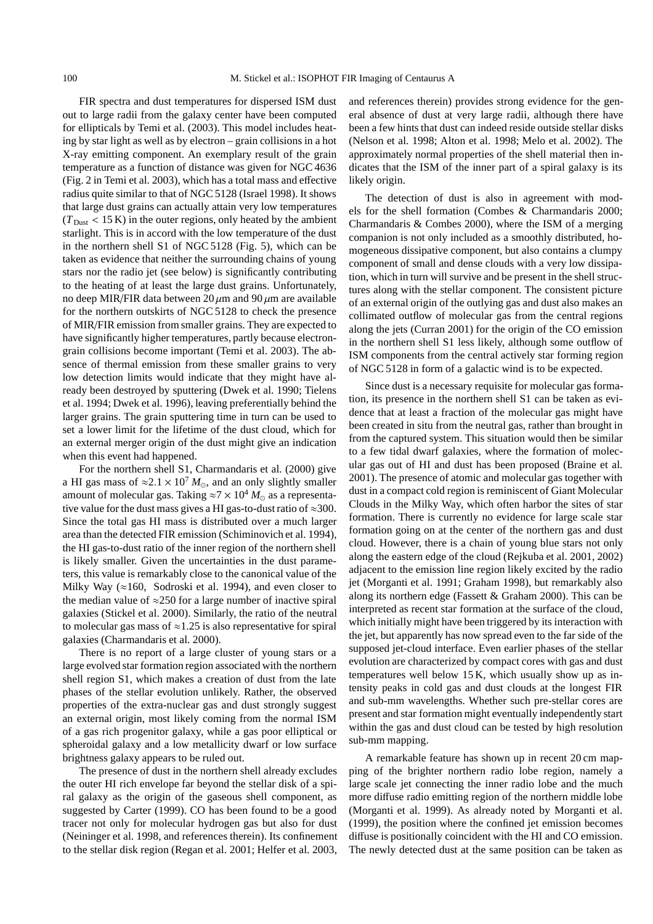FIR spectra and dust temperatures for dispersed ISM dust out to large radii from the galaxy center have been computed for ellipticals by Temi et al. (2003). This model includes heating by star light as well as by electron – grain collisions in a hot X-ray emitting component. An exemplary result of the grain temperature as a function of distance was given for NGC 4636 (Fig. 2 in Temi et al. 2003), which has a total mass and effective radius quite similar to that of NGC 5128 (Israel 1998). It shows that large dust grains can actually attain very low temperatures  $(T_{\text{Dust}} < 15 \text{ K})$  in the outer regions, only heated by the ambient starlight. This is in accord with the low temperature of the dust in the northern shell S1 of NGC 5128 (Fig. 5), which can be taken as evidence that neither the surrounding chains of young stars nor the radio jet (see below) is significantly contributing to the heating of at least the large dust grains. Unfortunately, no deep MIR/FIR data between  $20 \mu m$  and  $90 \mu m$  are available for the northern outskirts of NGC 5128 to check the presence of MIR/FIR emission from smaller grains. They are expected to have significantly higher temperatures, partly because electrongrain collisions become important (Temi et al. 2003). The absence of thermal emission from these smaller grains to very low detection limits would indicate that they might have already been destroyed by sputtering (Dwek et al. 1990; Tielens et al. 1994; Dwek et al. 1996), leaving preferentially behind the larger grains. The grain sputtering time in turn can be used to set a lower limit for the lifetime of the dust cloud, which for an external merger origin of the dust might give an indication when this event had happened.

For the northern shell S1, Charmandaris et al. (2000) give a HI gas mass of  $\approx 2.1 \times 10^7 M_{\odot}$ , and an only slightly smaller amount of molecular gas. Taking  $\approx$  7  $\times$  10<sup>4</sup>  $M_{\odot}$  as a representative value for the dust mass gives a HI gas-to-dust ratio of ≈300. Since the total gas HI mass is distributed over a much larger area than the detected FIR emission (Schiminovich et al. 1994), the HI gas-to-dust ratio of the inner region of the northern shell is likely smaller. Given the uncertainties in the dust parameters, this value is remarkably close to the canonical value of the Milky Way ( $\approx$ 160, Sodroski et al. 1994), and even closer to the median value of  $\approx$ 250 for a large number of inactive spiral galaxies (Stickel et al. 2000). Similarly, the ratio of the neutral to molecular gas mass of  $\approx$ 1.25 is also representative for spiral galaxies (Charmandaris et al. 2000).

There is no report of a large cluster of young stars or a large evolved star formation region associated with the northern shell region S1, which makes a creation of dust from the late phases of the stellar evolution unlikely. Rather, the observed properties of the extra-nuclear gas and dust strongly suggest an external origin, most likely coming from the normal ISM of a gas rich progenitor galaxy, while a gas poor elliptical or spheroidal galaxy and a low metallicity dwarf or low surface brightness galaxy appears to be ruled out.

The presence of dust in the northern shell already excludes the outer HI rich envelope far beyond the stellar disk of a spiral galaxy as the origin of the gaseous shell component, as suggested by Carter (1999). CO has been found to be a good tracer not only for molecular hydrogen gas but also for dust (Neininger et al. 1998, and references therein). Its confinement to the stellar disk region (Regan et al. 2001; Helfer et al. 2003, and references therein) provides strong evidence for the general absence of dust at very large radii, although there have been a few hints that dust can indeed reside outside stellar disks (Nelson et al. 1998; Alton et al. 1998; Melo et al. 2002). The approximately normal properties of the shell material then indicates that the ISM of the inner part of a spiral galaxy is its likely origin.

The detection of dust is also in agreement with models for the shell formation (Combes & Charmandaris 2000; Charmandaris & Combes 2000), where the ISM of a merging companion is not only included as a smoothly distributed, homogeneous dissipative component, but also contains a clumpy component of small and dense clouds with a very low dissipation, which in turn will survive and be present in the shell structures along with the stellar component. The consistent picture of an external origin of the outlying gas and dust also makes an collimated outflow of molecular gas from the central regions along the jets (Curran 2001) for the origin of the CO emission in the northern shell S1 less likely, although some outflow of ISM components from the central actively star forming region of NGC 5128 in form of a galactic wind is to be expected.

Since dust is a necessary requisite for molecular gas formation, its presence in the northern shell S1 can be taken as evidence that at least a fraction of the molecular gas might have been created in situ from the neutral gas, rather than brought in from the captured system. This situation would then be similar to a few tidal dwarf galaxies, where the formation of molecular gas out of HI and dust has been proposed (Braine et al. 2001). The presence of atomic and molecular gas together with dust in a compact cold region is reminiscent of Giant Molecular Clouds in the Milky Way, which often harbor the sites of star formation. There is currently no evidence for large scale star formation going on at the center of the northern gas and dust cloud. However, there is a chain of young blue stars not only along the eastern edge of the cloud (Rejkuba et al. 2001, 2002) adjacent to the emission line region likely excited by the radio jet (Morganti et al. 1991; Graham 1998), but remarkably also along its northern edge (Fassett & Graham 2000). This can be interpreted as recent star formation at the surface of the cloud, which initially might have been triggered by its interaction with the jet, but apparently has now spread even to the far side of the supposed jet-cloud interface. Even earlier phases of the stellar evolution are characterized by compact cores with gas and dust temperatures well below 15 K, which usually show up as intensity peaks in cold gas and dust clouds at the longest FIR and sub-mm wavelengths. Whether such pre-stellar cores are present and star formation might eventually independently start within the gas and dust cloud can be tested by high resolution sub-mm mapping.

A remarkable feature has shown up in recent 20 cm mapping of the brighter northern radio lobe region, namely a large scale jet connecting the inner radio lobe and the much more diffuse radio emitting region of the northern middle lobe (Morganti et al. 1999). As already noted by Morganti et al. (1999), the position where the confined jet emission becomes diffuse is positionally coincident with the HI and CO emission. The newly detected dust at the same position can be taken as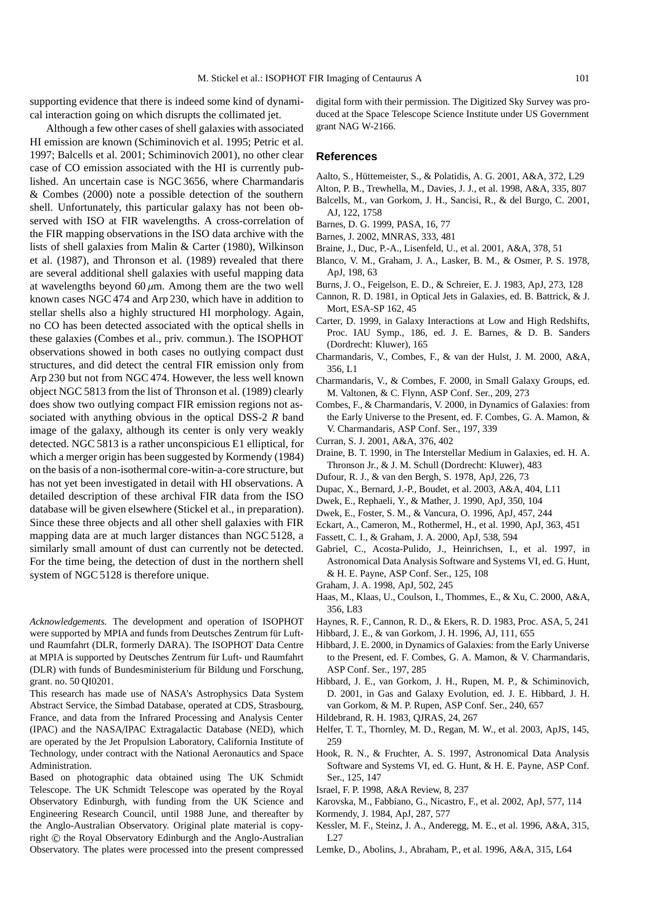supporting evidence that there is indeed some kind of dynamical interaction going on which disrupts the collimated jet.

Although a few other cases of shell galaxies with associated HI emission are known (Schiminovich et al. 1995; Petric et al. 1997; Balcells et al. 2001; Schiminovich 2001), no other clear case of CO emission associated with the HI is currently published. An uncertain case is NGC 3656, where Charmandaris & Combes (2000) note a possible detection of the southern shell. Unfortunately, this particular galaxy has not been observed with ISO at FIR wavelengths. A cross-correlation of the FIR mapping observations in the ISO data archive with the lists of shell galaxies from Malin & Carter (1980), Wilkinson et al. (1987), and Thronson et al. (1989) revealed that there are several additional shell galaxies with useful mapping data at wavelengths beyond  $60 \mu m$ . Among them are the two well known cases NGC 474 and Arp 230, which have in addition to stellar shells also a highly structured HI morphology. Again, no CO has been detected associated with the optical shells in these galaxies (Combes et al., priv. commun.). The ISOPHOT observations showed in both cases no outlying compact dust structures, and did detect the central FIR emission only from Arp 230 but not from NGC 474. However, the less well known object NGC 5813 from the list of Thronson et al. (1989) clearly does show two outlying compact FIR emission regions not associated with anything obvious in the optical DSS-2 *R* band image of the galaxy, although its center is only very weakly detected. NGC 5813 is a rather unconspicious E1 elliptical, for which a merger origin has been suggested by Kormendy (1984) on the basis of a non-isothermal core-witin-a-core structure, but has not yet been investigated in detail with HI observations. A detailed description of these archival FIR data from the ISO database will be given elsewhere (Stickel et al., in preparation). Since these three objects and all other shell galaxies with FIR mapping data are at much larger distances than NGC 5128, a similarly small amount of dust can currently not be detected. For the time being, the detection of dust in the northern shell system of NGC 5128 is therefore unique.

*Acknowledgements.* The development and operation of ISOPHOT were supported by MPIA and funds from Deutsches Zentrum für Luftund Raumfahrt (DLR, formerly DARA). The ISOPHOT Data Centre at MPIA is supported by Deutsches Zentrum für Luft- und Raumfahrt (DLR) with funds of Bundesministerium für Bildung und Forschung, grant. no. 50 QI0201.

This research has made use of NASA's Astrophysics Data System Abstract Service, the Simbad Database, operated at CDS, Strasbourg, France, and data from the Infrared Processing and Analysis Center (IPAC) and the NASA/IPAC Extragalactic Database (NED), which are operated by the Jet Propulsion Laboratory, California Institute of Technology, under contract with the National Aeronautics and Space Administration.

Based on photographic data obtained using The UK Schmidt Telescope. The UK Schmidt Telescope was operated by the Royal Observatory Edinburgh, with funding from the UK Science and Engineering Research Council, until 1988 June, and thereafter by the Anglo-Australian Observatory. Original plate material is copyright © the Royal Observatory Edinburgh and the Anglo-Australian Observatory. The plates were processed into the present compressed digital form with their permission. The Digitized Sky Survey was produced at the Space Telescope Science Institute under US Government grant NAG W-2166.

#### **References**

- Aalto, S., Hüttemeister, S., & Polatidis, A. G. 2001, A&A, 372, L29
- Alton, P. B., Trewhella, M., Davies, J. J., et al. 1998, A&A, 335, 807
- Balcells, M., van Gorkom, J. H., Sancisi, R., & del Burgo, C. 2001, AJ, 122, 1758
- Barnes, D. G. 1999, PASA, 16, 77
- Barnes, J. 2002, MNRAS, 333, 481
- Braine, J., Duc, P.-A., Lisenfeld, U., et al. 2001, A&A, 378, 51
- Blanco, V. M., Graham, J. A., Lasker, B. M., & Osmer, P. S. 1978, ApJ, 198, 63
- Burns, J. O., Feigelson, E. D., & Schreier, E. J. 1983, ApJ, 273, 128
- Cannon, R. D. 1981, in Optical Jets in Galaxies, ed. B. Battrick, & J. Mort, ESA-SP 162, 45
- Carter, D. 1999, in Galaxy Interactions at Low and High Redshifts, Proc. IAU Symp., 186, ed. J. E. Barnes, & D. B. Sanders (Dordrecht: Kluwer), 165
- Charmandaris, V., Combes, F., & van der Hulst, J. M. 2000, A&A, 356, L1
- Charmandaris, V., & Combes, F. 2000, in Small Galaxy Groups, ed. M. Valtonen, & C. Flynn, ASP Conf. Ser., 209, 273
- Combes, F., & Charmandaris, V. 2000, in Dynamics of Galaxies: from the Early Universe to the Present, ed. F. Combes, G. A. Mamon, & V. Charmandaris, ASP Conf. Ser., 197, 339
- Curran, S. J. 2001, A&A, 376, 402
- Draine, B. T. 1990, in The Interstellar Medium in Galaxies, ed. H. A. Thronson Jr., & J. M. Schull (Dordrecht: Kluwer), 483
- Dufour, R. J., & van den Bergh, S. 1978, ApJ, 226, 73
- Dupac, X., Bernard, J.-P., Boudet, et al. 2003, A&A, 404, L11
- Dwek, E., Rephaeli, Y., & Mather, J. 1990, ApJ, 350, 104
- Dwek, E., Foster, S. M., & Vancura, O. 1996, ApJ, 457, 244
- Eckart, A., Cameron, M., Rothermel, H., et al. 1990, ApJ, 363, 451
- Fassett, C. I., & Graham, J. A. 2000, ApJ, 538, 594
- Gabriel, C., Acosta-Pulido, J., Heinrichsen, I., et al. 1997, in Astronomical Data Analysis Software and Systems VI, ed. G. Hunt, & H. E. Payne, ASP Conf. Ser., 125, 108
- Graham, J. A. 1998, ApJ, 502, 245
- Haas, M., Klaas, U., Coulson, I., Thommes, E., & Xu, C. 2000, A&A, 356, L83
- Haynes, R. F., Cannon, R. D., & Ekers, R. D. 1983, Proc. ASA, 5, 241
- Hibbard, J. E., & van Gorkom, J. H. 1996, AJ, 111, 655
- Hibbard, J. E. 2000, in Dynamics of Galaxies: from the Early Universe to the Present, ed. F. Combes, G. A. Mamon, & V. Charmandaris, ASP Conf. Ser., 197, 285
- Hibbard, J. E., van Gorkom, J. H., Rupen, M. P., & Schiminovich, D. 2001, in Gas and Galaxy Evolution, ed. J. E. Hibbard, J. H. van Gorkom, & M. P. Rupen, ASP Conf. Ser., 240, 657
- Hildebrand, R. H. 1983, QJRAS, 24, 267
- Helfer, T. T., Thornley, M. D., Regan, M. W., et al. 2003, ApJS, 145, 259
- Hook, R. N., & Fruchter, A. S. 1997, Astronomical Data Analysis Software and Systems VI, ed. G. Hunt, & H. E. Payne, ASP Conf. Ser., 125, 147
- Israel, F. P. 1998, A&A Review, 8, 237
- Karovska, M., Fabbiano, G., Nicastro, F., et al. 2002, ApJ, 577, 114
- Kormendy, J. 1984, ApJ, 287, 577
- Kessler, M. F., Steinz, J. A., Anderegg, M. E., et al. 1996, A&A, 315, L27
- Lemke, D., Abolins, J., Abraham, P., et al. 1996, A&A, 315, L64